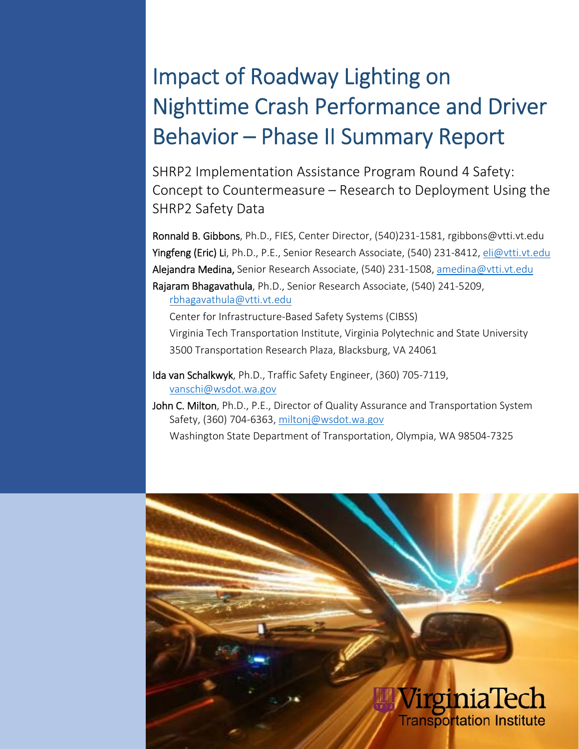# Impact of Roadway Lighting on Nighttime Crash Performance and Driver Behavior – Phase II Summary Report

SHRP2 Implementation Assistance Program Round 4 Safety: Concept to Countermeasure – Research to Deployment Using the SHRP2 Safety Data

Ronnald B. Gibbons, Ph.D., FIES, Center Director, (540)231‐1581, rgibbons@vtti.vt.edu Yingfeng (Eric) Li, Ph.D., P.E., Senior Research Associate, (540) 231-8412, eli@vtti.vt.edu Alejandra Medina, Senior Research Associate, (540) 231-1508, amedina@vtti.vt.edu Rajaram Bhagavathula, Ph.D., Senior Research Associate, (540) 241‐5209,

rbhagavathula@vtti.vt.edu

Center for Infrastructure‐Based Safety Systems (CIBSS)

Virginia Tech Transportation Institute, Virginia Polytechnic and State University 3500 Transportation Research Plaza, Blacksburg, VA 24061

Ida van Schalkwyk, Ph.D., Traffic Safety Engineer, (360) 705‐7119, vanschi@wsdot.wa.gov

i

John C. Milton, Ph.D., P.E., Director of Quality Assurance and Transportation System Safety, (360) 704‐6363, miltonj@wsdot.wa.gov

Washington State Department of Transportation, Olympia, WA 98504‐7325

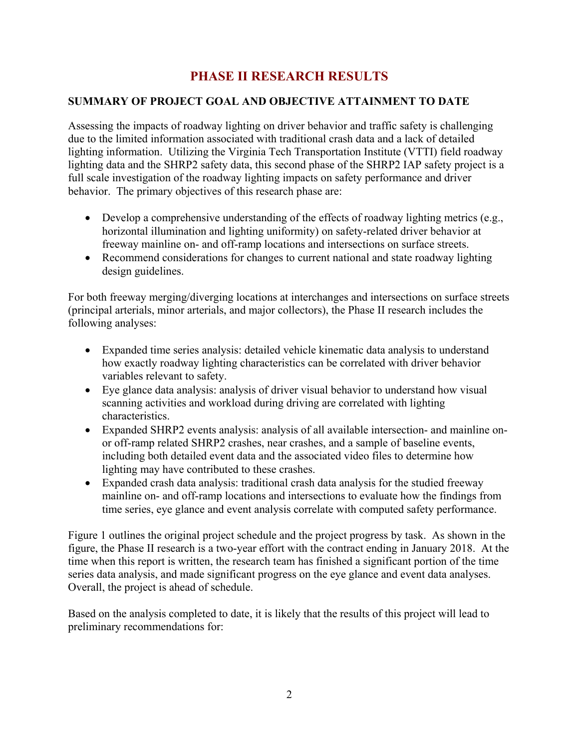# **PHASE II RESEARCH RESULTS**

## **SUMMARY OF PROJECT GOAL AND OBJECTIVE ATTAINMENT TO DATE**

Assessing the impacts of roadway lighting on driver behavior and traffic safety is challenging due to the limited information associated with traditional crash data and a lack of detailed lighting information. Utilizing the Virginia Tech Transportation Institute (VTTI) field roadway lighting data and the SHRP2 safety data, this second phase of the SHRP2 IAP safety project is a full scale investigation of the roadway lighting impacts on safety performance and driver behavior. The primary objectives of this research phase are:

- Develop a comprehensive understanding of the effects of roadway lighting metrics (e.g., horizontal illumination and lighting uniformity) on safety-related driver behavior at freeway mainline on- and off-ramp locations and intersections on surface streets.
- Recommend considerations for changes to current national and state roadway lighting design guidelines.

For both freeway merging/diverging locations at interchanges and intersections on surface streets (principal arterials, minor arterials, and major collectors), the Phase II research includes the following analyses:

- Expanded time series analysis: detailed vehicle kinematic data analysis to understand how exactly roadway lighting characteristics can be correlated with driver behavior variables relevant to safety.
- Eye glance data analysis: analysis of driver visual behavior to understand how visual scanning activities and workload during driving are correlated with lighting characteristics.
- Expanded SHRP2 events analysis: analysis of all available intersection- and mainline onor off-ramp related SHRP2 crashes, near crashes, and a sample of baseline events, including both detailed event data and the associated video files to determine how lighting may have contributed to these crashes.
- Expanded crash data analysis: traditional crash data analysis for the studied freeway mainline on- and off-ramp locations and intersections to evaluate how the findings from time series, eye glance and event analysis correlate with computed safety performance.

Figure 1 outlines the original project schedule and the project progress by task. As shown in the figure, the Phase II research is a two-year effort with the contract ending in January 2018. At the time when this report is written, the research team has finished a significant portion of the time series data analysis, and made significant progress on the eye glance and event data analyses. Overall, the project is ahead of schedule.

Based on the analysis completed to date, it is likely that the results of this project will lead to preliminary recommendations for: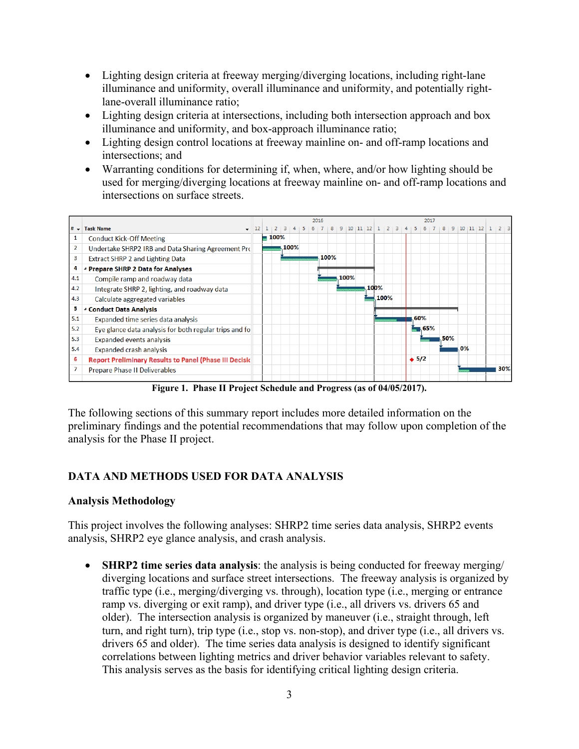- Lighting design criteria at freeway merging/diverging locations, including right-lane illuminance and uniformity, overall illuminance and uniformity, and potentially rightlane-overall illuminance ratio;
- Lighting design criteria at intersections, including both intersection approach and box illuminance and uniformity, and box-approach illuminance ratio;
- Lighting design control locations at freeway mainline on- and off-ramp locations and intersections; and
- Warranting conditions for determining if, when, where, and/or how lighting should be used for merging/diverging locations at freeway mainline on- and off-ramp locations and intersections on surface streets.



**Figure 1. Phase II Project Schedule and Progress (as of 04/05/2017).** 

The following sections of this summary report includes more detailed information on the preliminary findings and the potential recommendations that may follow upon completion of the analysis for the Phase II project.

## **DATA AND METHODS USED FOR DATA ANALYSIS**

## **Analysis Methodology**

This project involves the following analyses: SHRP2 time series data analysis, SHRP2 events analysis, SHRP2 eye glance analysis, and crash analysis.

 **SHRP2 time series data analysis**: the analysis is being conducted for freeway merging/ diverging locations and surface street intersections. The freeway analysis is organized by traffic type (i.e., merging/diverging vs. through), location type (i.e., merging or entrance ramp vs. diverging or exit ramp), and driver type (i.e., all drivers vs. drivers 65 and older). The intersection analysis is organized by maneuver (i.e., straight through, left turn, and right turn), trip type (i.e., stop vs. non-stop), and driver type (i.e., all drivers vs. drivers 65 and older). The time series data analysis is designed to identify significant correlations between lighting metrics and driver behavior variables relevant to safety. This analysis serves as the basis for identifying critical lighting design criteria.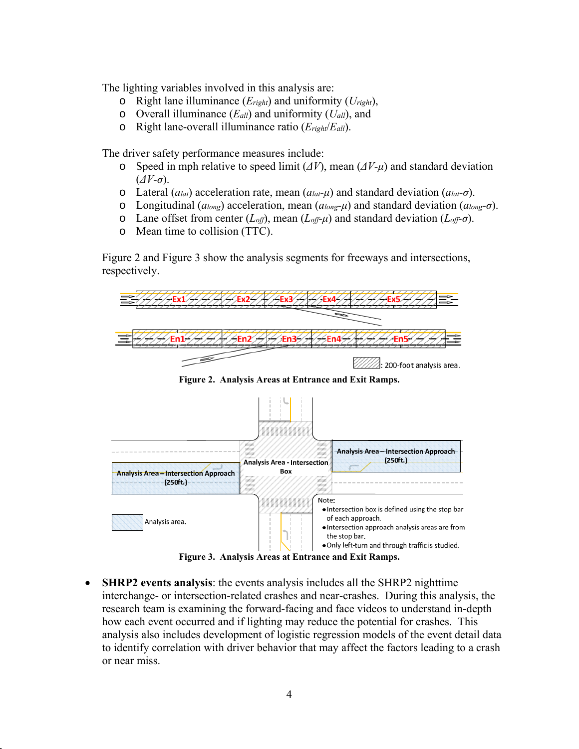The lighting variables involved in this analysis are:

- o Right lane illuminance (*Eright*) and uniformity (*Uright*),
- o Overall illuminance (*Eall*) and uniformity (*Uall*), and
- o Right lane-overall illuminance ratio (*Eright*/*Eall*).

The driver safety performance measures include:

- o Speed in mph relative to speed limit (*ΔV*), mean (*ΔV-μ*) and standard deviation (*ΔV-σ*).
- o Lateral (*alat*) acceleration rate, mean (*alat-μ*) and standard deviation (*alat-σ*).
- o Longitudinal (*along*) acceleration, mean (*along-μ*) and standard deviation (*along-σ*).
- o Lane offset from center (*Loff*), mean (*Loff-μ*) and standard deviation (*Loff-σ*).
- o Mean time to collision (TTC).

Figure 2 and Figure 3 show the analysis segments for freeways and intersections, respectively.



**Figure 2. Analysis Areas at Entrance and Exit Ramps.** 



 **SHRP2 events analysis**: the events analysis includes all the SHRP2 nighttime interchange- or intersection-related crashes and near-crashes. During this analysis, the research team is examining the forward-facing and face videos to understand in-depth how each event occurred and if lighting may reduce the potential for crashes. This analysis also includes development of logistic regression models of the event detail data to identify correlation with driver behavior that may affect the factors leading to a crash or near miss.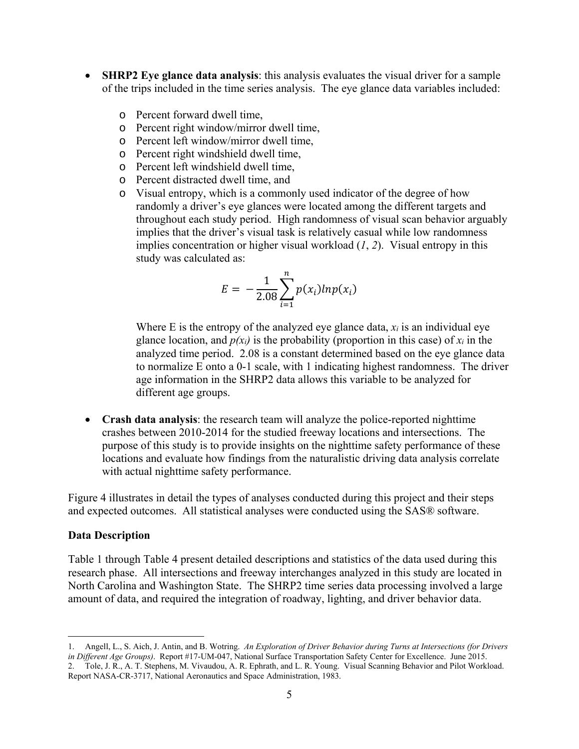- **SHRP2 Eye glance data analysis**: this analysis evaluates the visual driver for a sample of the trips included in the time series analysis. The eye glance data variables included:
	- o Percent forward dwell time,
	- o Percent right window/mirror dwell time,
	- o Percent left window/mirror dwell time,
	- o Percent right windshield dwell time,
	- o Percent left windshield dwell time,
	- o Percent distracted dwell time, and
	- o Visual entropy, which is a commonly used indicator of the degree of how randomly a driver's eye glances were located among the different targets and throughout each study period. High randomness of visual scan behavior arguably implies that the driver's visual task is relatively casual while low randomness implies concentration or higher visual workload (*1*, *2*). Visual entropy in this study was calculated as:

$$
E = -\frac{1}{2.08} \sum_{i=1}^{n} p(x_i) l n p(x_i)
$$

Where E is the entropy of the analyzed eye glance data,  $x_i$  is an individual eye glance location, and  $p(x_i)$  is the probability (proportion in this case) of  $x_i$  in the analyzed time period. 2.08 is a constant determined based on the eye glance data to normalize E onto a 0-1 scale, with 1 indicating highest randomness. The driver age information in the SHRP2 data allows this variable to be analyzed for different age groups.

 **Crash data analysis**: the research team will analyze the police-reported nighttime crashes between 2010-2014 for the studied freeway locations and intersections. The purpose of this study is to provide insights on the nighttime safety performance of these locations and evaluate how findings from the naturalistic driving data analysis correlate with actual nighttime safety performance.

Figure 4 illustrates in detail the types of analyses conducted during this project and their steps and expected outcomes. All statistical analyses were conducted using the SAS® software.

#### **Data Description**

 $\overline{a}$ 

Table 1 through Table 4 present detailed descriptions and statistics of the data used during this research phase. All intersections and freeway interchanges analyzed in this study are located in North Carolina and Washington State. The SHRP2 time series data processing involved a large amount of data, and required the integration of roadway, lighting, and driver behavior data.

<sup>1.</sup> Angell, L., S. Aich, J. Antin, and B. Wotring. *An Exploration of Driver Behavior during Turns at Intersections (for Drivers in Different Age Groups)*. Report #17-UM-047, National Surface Transportation Safety Center for Excellence. June 2015. 2. Tole, J. R., A. T. Stephens, M. Vivaudou, A. R. Ephrath, and L. R. Young. Visual Scanning Behavior and Pilot Workload. Report NASA-CR-3717, National Aeronautics and Space Administration, 1983.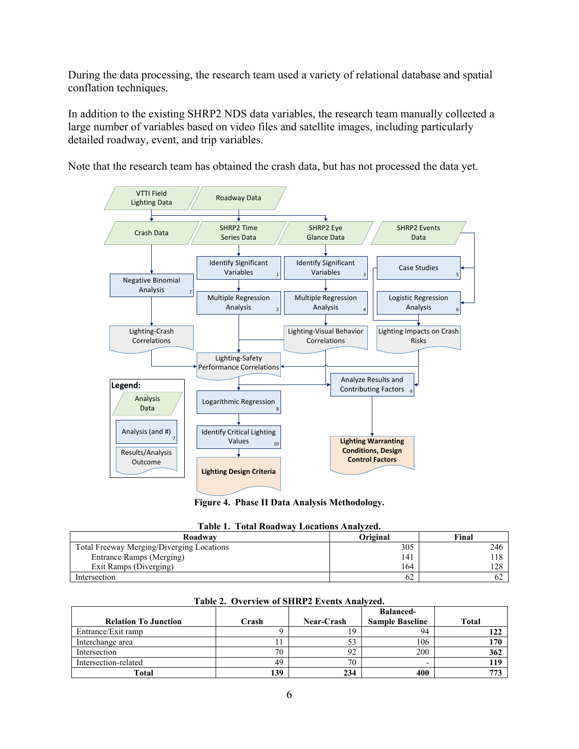During the data processing, the research team used a variety of relational database and spatial conflation techniques.

In addition to the existing SHRP2 NDS data variables, the research team manually collected a large number of variables based on video files and satellite images, including particularly detailed roadway, event, and trip variables.

Note that the research team has obtained the crash data, but has not processed the data yet.



**Figure 4. Phase II Data Analysis Methodology.** 

| <b>Table 1. Total Roadway Locations Analyzed.</b> |                 |       |  |  |  |  |  |  |  |  |
|---------------------------------------------------|-----------------|-------|--|--|--|--|--|--|--|--|
| Roadway                                           | <b>Original</b> | Final |  |  |  |  |  |  |  |  |
| Total Freeway Merging/Diverging Locations         | 305             | 246   |  |  |  |  |  |  |  |  |
| Entrance Ramps (Merging)                          | 141             | 118   |  |  |  |  |  |  |  |  |
| Exit Ramps (Diverging)                            | 164             | 128   |  |  |  |  |  |  |  |  |
| Intersection                                      | 62              |       |  |  |  |  |  |  |  |  |

|                             |       |                   | <b>Balanced-</b>       |       |
|-----------------------------|-------|-------------------|------------------------|-------|
| <b>Relation To Junction</b> | Crash | <b>Near-Crash</b> | <b>Sample Baseline</b> | Total |
| Entrance/Exit ramp          |       | 19                | 94                     | 122   |
| Interchange area            |       | 53                | 106                    | 170   |
| Intersection                | 70    | 92                | 200                    | 362   |
| Intersection-related        | 49    | 70                |                        | 119   |
| Total                       | 139   | 234               | 400                    | 773   |

#### **Table 2. Overview of SHRP2 Events Analyzed.**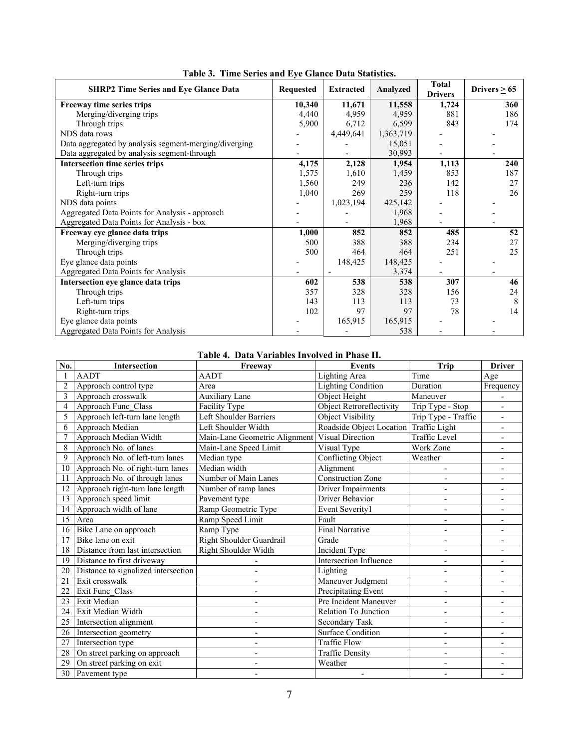| <b>SHRP2 Time Series and Eye Glance Data</b>          | <b>Requested</b> | <b>Extracted</b> | Analyzed  | <b>Total</b><br><b>Drivers</b> | Drivers $\geq 65$ |
|-------------------------------------------------------|------------------|------------------|-----------|--------------------------------|-------------------|
| Freeway time series trips                             | 10,340           | 11,671           | 11,558    | 1,724                          | 360               |
| Merging/diverging trips                               | 4,440            | 4,959            | 4,959     | 881                            | 186               |
| Through trips                                         | 5,900            | 6,712            | 6,599     | 843                            | 174               |
| NDS data rows                                         |                  | 4,449,641        | 1,363,719 |                                |                   |
| Data aggregated by analysis segment-merging/diverging |                  |                  | 15,051    |                                |                   |
| Data aggregated by analysis segment-through           |                  |                  | 30,993    |                                |                   |
| Intersection time series trips                        | 4,175            | 2,128            | 1,954     | 1,113                          | 240               |
| Through trips                                         | 1,575            | 1,610            | 1,459     | 853                            | 187               |
| Left-turn trips                                       | 1,560            | 249              | 236       | 142                            | 27                |
| Right-turn trips                                      | 1,040            | 269              | 259       | 118                            | 26                |
| NDS data points                                       |                  | 1,023,194        | 425,142   |                                |                   |
| Aggregated Data Points for Analysis - approach        |                  |                  | 1,968     |                                |                   |
| Aggregated Data Points for Analysis - box             |                  |                  | 1,968     |                                |                   |
| Freeway eye glance data trips                         | 1,000            | 852              | 852       | 485                            | 52                |
| Merging/diverging trips                               | 500              | 388              | 388       | 234                            | 27                |
| Through trips                                         | 500              | 464              | 464       | 251                            | 25                |
| Eye glance data points                                |                  | 148,425          | 148,425   |                                |                   |
| Aggregated Data Points for Analysis                   |                  |                  | 3,374     |                                |                   |
| Intersection eye glance data trips                    | 602              | 538              | 538       | 307                            | 46                |
| Through trips                                         | 357              | 328              | 328       | 156                            | 24                |
| Left-turn trips                                       | 143              | 113              | 113       | 73                             | 8                 |
| Right-turn trips                                      | 102              | 97               | 97        | 78                             | 14                |
| Eye glance data points                                |                  | 165,915          | 165,915   |                                |                   |
| Aggregated Data Points for Analysis                   |                  |                  | 538       |                                |                   |

#### **Table 4. Data Variables Involved in Phase II.**

| No.            | Intersection                        | Freeway                       | <b>Events</b>                          | Trip                     | <b>Driver</b>            |
|----------------|-------------------------------------|-------------------------------|----------------------------------------|--------------------------|--------------------------|
|                | <b>AADT</b>                         | <b>AADT</b>                   | Lighting Area                          | Time                     | Age                      |
| $\overline{c}$ | Approach control type               | Area                          | <b>Lighting Condition</b>              | Duration                 | Frequency                |
| 3              | Approach crosswalk                  | <b>Auxiliary Lane</b>         | Object Height                          | Maneuver                 |                          |
| 4              | Approach Func Class                 | Facility Type                 | <b>Object Retroreflectivity</b>        | Trip Type - Stop         | $\blacksquare$           |
| 5              | Approach left-turn lane length      | Left Shoulder Barriers        | <b>Object Visibility</b>               | Trip Type - Traffic      |                          |
| 6              | Approach Median                     | Left Shoulder Width           | Roadside Object Location Traffic Light |                          |                          |
| 7              | Approach Median Width               | Main-Lane Geometric Alignment | Visual Direction                       | Traffic Level            | $\overline{\phantom{0}}$ |
| 8              | Approach No. of lanes               | Main-Lane Speed Limit         | Visual Type                            | Work Zone                | $\overline{\phantom{0}}$ |
| 9              | Approach No. of left-turn lanes     | Median type                   | <b>Conflicting Object</b>              | Weather                  | $\overline{a}$           |
| 10             | Approach No. of right-turn lanes    | Median width                  | Alignment                              | $\overline{\phantom{a}}$ | $\overline{\phantom{0}}$ |
| 11             | Approach No. of through lanes       | Number of Main Lanes          | <b>Construction Zone</b>               |                          | $\overline{\phantom{0}}$ |
| 12             | Approach right-turn lane length     | Number of ramp lanes          | <b>Driver Impairments</b>              |                          |                          |
| 13             | Approach speed limit                | Pavement type                 | Driver Behavior                        |                          | $\overline{\phantom{0}}$ |
| 14             | Approach width of lane              | Ramp Geometric Type           | Event Severity1                        | $\overline{a}$           | $\blacksquare$           |
| 15             | Area                                | Ramp Speed Limit              | Fault                                  | $\overline{a}$           | $\overline{\phantom{a}}$ |
| 16             | Bike Lane on approach               | Ramp Type                     | <b>Final Narrative</b>                 |                          | $\overline{\phantom{0}}$ |
| 17             | Bike lane on exit                   | Right Shoulder Guardrail      | Grade                                  | $\overline{\phantom{a}}$ | $\overline{\phantom{a}}$ |
| 18             | Distance from last intersection     | Right Shoulder Width          | Incident Type                          |                          |                          |
| 19             | Distance to first driveway          |                               | Intersection Influence                 |                          |                          |
| 20             | Distance to signalized intersection | $\overline{\phantom{0}}$      | Lighting                               | $\overline{a}$           | $\overline{\phantom{a}}$ |
| 21             | Exit crosswalk                      |                               | Maneuver Judgment                      | $\blacksquare$           | $\overline{\phantom{0}}$ |
| 22             | Exit Func Class                     | $\overline{\phantom{a}}$      | Precipitating Event                    | $\overline{\phantom{a}}$ | $\overline{\phantom{a}}$ |
| 23             | Exit Median                         | $\overline{\phantom{a}}$      | Pre Incident Maneuver                  |                          |                          |
| 24             | Exit Median Width                   |                               | Relation To Junction                   |                          |                          |
| 25             | Intersection alignment              | $\qquad \qquad \blacksquare$  | Secondary Task                         | $\overline{\phantom{a}}$ | $\overline{\phantom{a}}$ |
| 26             | Intersection geometry               | $\blacksquare$                | Surface Condition                      | $\overline{a}$           | $\overline{a}$           |
| 27             | Intersection type                   | $\overline{\phantom{a}}$      | <b>Traffic Flow</b>                    | $\blacksquare$           | $\overline{\phantom{a}}$ |
| 28             | On street parking on approach       | $\overline{\phantom{a}}$      | <b>Traffic Density</b>                 | $\blacksquare$           | ٠                        |
| 29             | On street parking on exit           |                               | Weather                                |                          |                          |
| 30             | Pavement type                       |                               | $\qquad \qquad \blacksquare$           |                          |                          |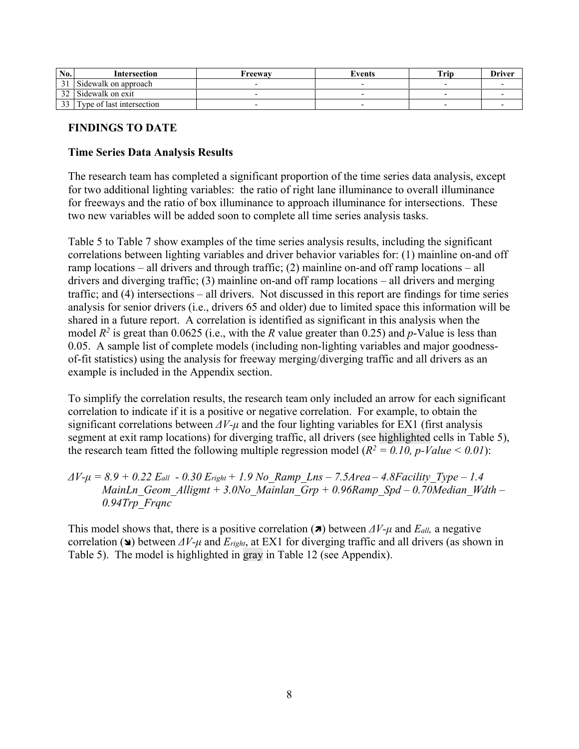| No.           | Intersection              | Freewav | Events | <b>Trip</b> | <b>Driver</b> |
|---------------|---------------------------|---------|--------|-------------|---------------|
|               | Sidewalk on approach      |         |        |             |               |
| 32            | Sidewalk on exit          |         |        |             |               |
| $\mathcal{L}$ | Type of last intersection |         |        |             |               |

## **FINDINGS TO DATE**

### **Time Series Data Analysis Results**

The research team has completed a significant proportion of the time series data analysis, except for two additional lighting variables: the ratio of right lane illuminance to overall illuminance for freeways and the ratio of box illuminance to approach illuminance for intersections. These two new variables will be added soon to complete all time series analysis tasks.

Table 5 to Table 7 show examples of the time series analysis results, including the significant correlations between lighting variables and driver behavior variables for: (1) mainline on-and off ramp locations – all drivers and through traffic; (2) mainline on-and off ramp locations – all drivers and diverging traffic; (3) mainline on-and off ramp locations – all drivers and merging traffic; and (4) intersections – all drivers. Not discussed in this report are findings for time series analysis for senior drivers (i.e., drivers 65 and older) due to limited space this information will be shared in a future report. A correlation is identified as significant in this analysis when the model  $R^2$  is great than 0.0625 (i.e., with the *R* value greater than 0.25) and *p*-Value is less than 0.05. A sample list of complete models (including non-lighting variables and major goodnessof-fit statistics) using the analysis for freeway merging/diverging traffic and all drivers as an example is included in the Appendix section.

To simplify the correlation results, the research team only included an arrow for each significant correlation to indicate if it is a positive or negative correlation. For example, to obtain the significant correlations between *ΔV-μ* and the four lighting variables for EX1 (first analysis segment at exit ramp locations) for diverging traffic, all drivers (see highlighted cells in Table 5), the research team fitted the following multiple regression model  $(R^2 = 0.10, p-Value \le 0.01)$ :

*ΔV-μ = 8.9 + 0.22 Eall - 0.30 Eright + 1.9 No\_Ramp\_Lns – 7.5Area – 4.8Facility\_Type – 1.4 MainLn\_Geom\_Alligmt + 3.0No\_Mainlan\_Grp + 0.96Ramp\_Spd – 0.70Median\_Wdth – 0.94Trp\_Frqnc* 

This model shows that, there is a positive correlation ( $\pi$ ) between  $\Delta V$ -*μ* and  $E_{all}$ , a negative correlation ( $\triangle$ ) between  $\Delta V$ -*μ* and  $E_{right}$ , at EX1 for diverging traffic and all drivers (as shown in Table 5). The model is highlighted in gray in Table 12 (see Appendix).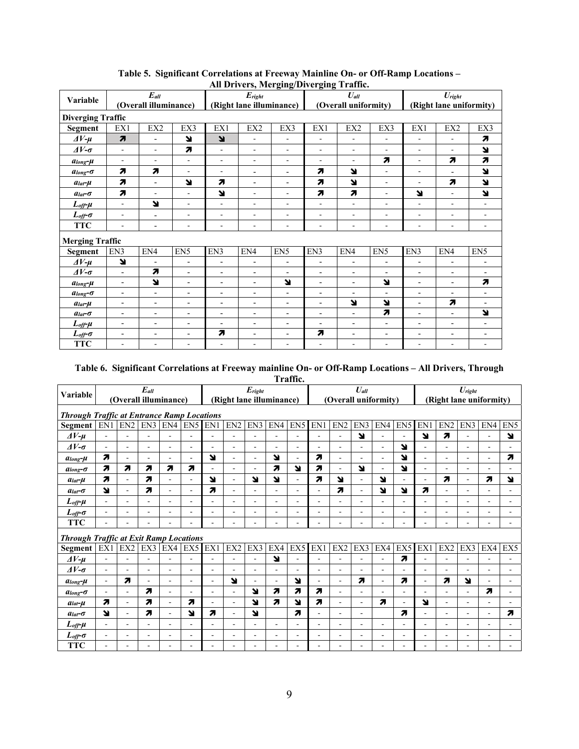|                             |                                   |                          |                          |                          |                                                  | $\mu$ and $\mu$ and $\mu$ and $\mu$ and $\mu$ and $\mu$ and $\mu$ |                          |                              |                          |                          |                          |                          |  |  |
|-----------------------------|-----------------------------------|--------------------------|--------------------------|--------------------------|--------------------------------------------------|-------------------------------------------------------------------|--------------------------|------------------------------|--------------------------|--------------------------|--------------------------|--------------------------|--|--|
|                             |                                   | $\boldsymbol{E}_{all}$   |                          |                          | $E_{right}$                                      |                                                                   |                          | $U_{all}$                    |                          |                          | $U_{right}$              |                          |  |  |
| Variable                    |                                   | (Overall illuminance)    |                          |                          | (Right lane illuminance)<br>(Overall uniformity) |                                                                   |                          |                              |                          |                          | (Right lane uniformity)  |                          |  |  |
| <b>Diverging Traffic</b>    |                                   |                          |                          |                          |                                                  |                                                                   |                          |                              |                          |                          |                          |                          |  |  |
| <b>Segment</b>              | EX1                               | EX2                      | EX3                      | EX1                      | EX2                                              | EX3                                                               | EX1                      | EX2                          | EX3                      | EX1                      | EX2                      | EX3                      |  |  |
| $\Delta V$ - $\mu$          | $\overline{\boldsymbol{\lambda}}$ | $\blacksquare$           | N                        | N                        | ÷                                                | $\overline{\phantom{a}}$                                          | ÷.                       | $\overline{\phantom{a}}$     | ÷,                       | ٠                        | $\overline{\phantom{a}}$ | 7                        |  |  |
| $\Delta V$ - $\sigma$       | $\overline{\phantom{a}}$          | $\overline{\phantom{a}}$ | $\overline{\phantom{a}}$ | ÷.                       | ۰                                                | $\overline{\phantom{a}}$                                          | ٠                        | $\overline{\phantom{a}}$     | ٠                        | ٠                        | $\blacksquare$           | N                        |  |  |
| $\alpha$ long- $\mu$        | ٠                                 | ٠                        | $\blacksquare$           | $\overline{\phantom{0}}$ | $\overline{\phantom{0}}$                         | ٠                                                                 | ٠                        | $\overline{\phantom{a}}$     | 7                        | $\overline{\phantom{a}}$ | 7                        | 7                        |  |  |
| $a$ long- $\sigma$          | $\overline{\mathbf{z}}$           | $\overline{\mathbf{z}}$  | ÷.                       | ٠                        | $\overline{a}$                                   | $\overline{\phantom{a}}$                                          | $\overline{\mathbf{z}}$  | N                            | ÷.                       | ٠                        | $\blacksquare$           | N                        |  |  |
| $a_{lat}$ - $\mu$           | 7                                 | $\blacksquare$           | N                        | $\overline{\mathbf{z}}$  | $\overline{\phantom{0}}$                         | $\overline{\phantom{a}}$                                          | 7                        | N                            | $\frac{1}{2}$            | ٠                        | 7                        | N                        |  |  |
| $alat - \sigma$             | $\overline{\mathbf{z}}$           | $\sim$                   | $\blacksquare$           | N                        | ۰                                                | $\overline{\phantom{a}}$                                          | $\overline{\mathbf{z}}$  | 7                            | $\frac{1}{2}$            | N                        | $\blacksquare$           | ¥                        |  |  |
| $L_{off}$ - $\mu$           | ÷.                                | N                        | ÷.                       | ÷                        | ÷                                                | $\overline{\phantom{a}}$                                          | $\blacksquare$           | $\blacksquare$               | ÷.                       | ÷.                       | ÷.                       | $\blacksquare$           |  |  |
| $L_{off}$ - $\sigma$        | $\overline{\phantom{a}}$          | $\blacksquare$           | ٠                        | ۰                        | ۰                                                | ٠                                                                 | $\overline{\phantom{a}}$ | $\overline{\phantom{a}}$     | ٠                        | $\overline{\phantom{a}}$ | $\overline{\phantom{a}}$ | $\overline{\phantom{a}}$ |  |  |
| <b>TTC</b>                  | ٠                                 | $\blacksquare$           | ÷.                       | ÷                        | ÷                                                | $\overline{\phantom{a}}$                                          | $\blacksquare$           | $\blacksquare$               | ٠                        | ÷.                       | $\blacksquare$           | $\blacksquare$           |  |  |
| <b>Merging Traffic</b>      |                                   |                          |                          |                          |                                                  |                                                                   |                          |                              |                          |                          |                          |                          |  |  |
| <b>Segment</b>              | EN3                               | EN4                      | EN <sub>5</sub>          | EN3                      | EN4                                              | EN <sub>5</sub>                                                   | EN3                      | EN4                          | EN <sub>5</sub>          | EN3                      | EN4                      | EN <sub>5</sub>          |  |  |
| $\Delta V$ - $\mu$          | N                                 | $\blacksquare$           | $\blacksquare$           | $\overline{a}$           | $\overline{\phantom{0}}$                         | $\overline{\phantom{a}}$                                          | $\blacksquare$           | $\overline{\phantom{a}}$     | $\overline{a}$           | $\blacksquare$           | $\blacksquare$           | $\overline{\phantom{0}}$ |  |  |
| $\Delta V$ - $\sigma$       | $\blacksquare$                    | 7                        | $\blacksquare$           | $\overline{\phantom{0}}$ | $\overline{\phantom{0}}$                         | $\overline{\phantom{a}}$                                          | $\blacksquare$           | $\blacksquare$               | $\overline{a}$           | $\overline{\phantom{a}}$ | $\blacksquare$           | $\overline{\phantom{0}}$ |  |  |
| $\alpha$ long- $\mu$        | $\blacksquare$                    | R                        | $\blacksquare$           | $\overline{\phantom{0}}$ | $\overline{\phantom{0}}$                         | R                                                                 | $\overline{\phantom{a}}$ | $\overline{\phantom{0}}$     | N                        | $\overline{\phantom{0}}$ | $\blacksquare$           | 7                        |  |  |
| $a$ long- $\sigma$          | $\overline{\phantom{a}}$          | $\overline{\phantom{a}}$ | $\blacksquare$           | $\overline{\phantom{0}}$ | $\overline{\phantom{0}}$                         | $\overline{\phantom{a}}$                                          | $\overline{\phantom{a}}$ | $\overline{\phantom{a}}$     | $\overline{a}$           | $\blacksquare$           | $\overline{\phantom{a}}$ | $\overline{\phantom{a}}$ |  |  |
| $a_{lat}$ - $\mu$           | $\overline{\phantom{a}}$          | $\blacksquare$           | $\overline{\phantom{a}}$ | $\overline{\phantom{0}}$ | $\overline{\phantom{0}}$                         | $\blacksquare$                                                    | $\blacksquare$           | N                            | Z                        | $\blacksquare$           | 7                        | $\blacksquare$           |  |  |
| $alat$ - $\sigma$           | $\overline{\phantom{a}}$          | $\overline{\phantom{a}}$ | $\overline{\phantom{a}}$ | $\overline{\phantom{0}}$ | $\overline{\phantom{0}}$                         | $\overline{\phantom{a}}$                                          | $\overline{\phantom{a}}$ | $\blacksquare$               | 7                        | $\overline{\phantom{a}}$ | $\overline{\phantom{a}}$ | N                        |  |  |
| $L_{off}$ - $\mu$           | $\overline{\phantom{0}}$          | $\overline{\phantom{a}}$ | $\blacksquare$           | $\overline{\phantom{0}}$ | $\overline{\phantom{0}}$                         | $\overline{\phantom{a}}$                                          | $\overline{\phantom{a}}$ | ٠                            | $\overline{a}$           | $\overline{\phantom{0}}$ | $\blacksquare$           | $\overline{\phantom{0}}$ |  |  |
| $L_{\text{off}}$ - $\sigma$ | $\overline{\phantom{a}}$          | $\overline{\phantom{a}}$ | $\overline{\phantom{a}}$ | $\boldsymbol{\pi}$       | $\overline{\phantom{0}}$                         | $\overline{\phantom{a}}$                                          | 7                        | $\qquad \qquad \blacksquare$ | $\overline{\phantom{a}}$ | $\overline{\phantom{0}}$ | $\overline{\phantom{a}}$ | $\overline{\phantom{0}}$ |  |  |
| <b>TTC</b>                  |                                   |                          | ÷,                       | ٠                        | ۰                                                | ۰                                                                 | ٠                        | ۰                            |                          |                          |                          | ٠                        |  |  |

#### **Table 5. Significant Correlations at Freeway Mainline On- or Off-Ramp Locations – All Drivers, Merging/Diverging Traffic.**

# **Table 6. Significant Correlations at Freeway mainline On- or Off-Ramp Locations – All Drivers, Through**

| attı<br>и |
|-----------|
|-----------|

| Variable                                          |                          | (Overall illuminance)    | $E_{all}$                |                          |                          |                          | (Right lane illuminance) | $E_{right}$    |                          |                          |                | (Overall uniformity)     | $U_{all}$ |                          |                          |                          | (Right lane uniformity)  | $U_{right}$    |                |                 |
|---------------------------------------------------|--------------------------|--------------------------|--------------------------|--------------------------|--------------------------|--------------------------|--------------------------|----------------|--------------------------|--------------------------|----------------|--------------------------|-----------|--------------------------|--------------------------|--------------------------|--------------------------|----------------|----------------|-----------------|
| <b>Through Traffic at Entrance Ramp Locations</b> |                          |                          |                          |                          |                          |                          |                          |                |                          |                          |                |                          |           |                          |                          |                          |                          |                |                |                 |
| Segment                                           | EN1                      | EN <sub>2</sub>          | EN3                      | EN4                      | EN <sub>5</sub>          | EN1                      | EN <sub>2</sub>          | EN3            | EN4                      | EN <sub>5</sub>          | EN1            | EN <sub>2</sub>          | EN3       | EN4                      | EN <sub>5</sub>          | EN1                      | EN <sub>2</sub>          | EN3            | EN4            | EN <sub>5</sub> |
| $\Delta V$ - $\mu$                                | $\sim$                   | $\overline{a}$           | ÷.                       | ÷                        |                          | ٠                        | $\overline{a}$           | ٠              | ÷                        |                          | ÷.             | ÷.                       | N         | ÷                        | ÷.                       | Ľ                        | $\overline{\mathbf{z}}$  | $\sim$         | ä,             | N               |
| $\Delta V$ - $\sigma$                             | $\sim$                   | $\blacksquare$           | ٠                        | ٠                        | ٠                        | ÷                        | $\overline{a}$           | ٠              |                          | ٠                        | $\blacksquare$ | $\overline{a}$           | ÷.        | $\blacksquare$           | N                        |                          |                          | $\sim$         |                |                 |
| $a_{long}$ - $\mu$                                | 7                        | $\overline{\phantom{a}}$ | ٠                        | $\blacksquare$           | ٠                        | N                        | $\overline{\phantom{a}}$ | $\blacksquare$ | N                        | $\overline{\phantom{a}}$ | 7              | $\overline{\phantom{a}}$ | ٠         | $\blacksquare$           | N                        | ÷.                       | $\overline{\phantom{a}}$ | $\blacksquare$ | ٠              | 7               |
| $a_{long}$ - $\sigma$                             | 7                        | $\overline{\mathbf{z}}$  | 71                       | 7                        | 7                        | ÷.                       | $\overline{\phantom{a}}$ | ٠              | Я                        | N                        | 7              | $\blacksquare$           | N         | ٠                        | N                        | ٠                        | ÷                        | $\blacksquare$ |                |                 |
| $alat - \mu$                                      | Я                        |                          | 7                        | ÷.                       |                          | N                        | $\sim$                   | N              | N                        |                          | 7              | N                        | ٠         | N                        | $\sim$                   |                          | 7                        | $\sim$         | 7              | N               |
| $alat - \sigma$                                   | N                        | $\overline{a}$           | 7                        | ÷                        |                          | 7                        | $\overline{a}$           | ٠              |                          | $\overline{a}$           | ÷.             | 7                        | $\sim$    | N                        | N                        | 7                        |                          | $\sim$         |                |                 |
| $L_{off}$ - $\mu$                                 | $\sim$                   |                          |                          | ٠                        |                          | ۳                        |                          | ٠              |                          |                          | ÷.             |                          | L.        | ۳                        | $\sim$                   |                          |                          | $\sim$         |                |                 |
| $L_{off}$ - $\sigma$                              | $\overline{\phantom{a}}$ |                          | ٠                        |                          |                          | ÷                        |                          | ٠              |                          |                          | ۰              |                          |           | ٠                        | $\overline{a}$           |                          |                          | $\overline{a}$ |                |                 |
| <b>TTC</b>                                        |                          |                          |                          |                          |                          |                          |                          | ٠              |                          |                          |                |                          |           |                          |                          |                          |                          | ٠              |                |                 |
| <b>Through Traffic at Exit Ramp Locations</b>     |                          |                          |                          |                          |                          |                          |                          |                |                          |                          |                |                          |           |                          |                          |                          |                          |                |                |                 |
| <b>Segment</b>                                    | EX1                      | EX2                      | EX3                      | EX4                      | EX5                      | EX1                      | EX2                      | EX3            | EX4                      | EX5                      | EX1            | EX2                      | EX3       | EX4                      | EX5                      | EX1                      | EX2                      | EX3            | EX4            | EX5             |
| $\Delta V$ - $\mu$                                | $\sim$                   |                          |                          |                          |                          |                          |                          |                | N                        |                          |                |                          |           | ۰                        | $\overline{\mathbf{z}}$  |                          |                          | ÷              |                |                 |
| $\Delta V$ - $\sigma$                             | $\overline{\phantom{a}}$ | ۰                        | $\overline{\phantom{0}}$ | ٠                        |                          | ÷                        |                          | ٠              |                          |                          | ٠              |                          | ٠         | ٠                        |                          |                          |                          | ÷              |                |                 |
| $a_{long}$ - $\mu$                                | $\overline{\phantom{a}}$ | 7                        | ٠                        | $\overline{a}$           | ٠                        | $\blacksquare$           | N                        | ÷              | ٠                        | N                        | ٠              | $\sim$                   | 7         | ٠                        | 7                        | ٠                        | 7                        | R              | ٠              |                 |
| $a$ long- $\sigma$                                | $\blacksquare$           | $\overline{\phantom{a}}$ | 71                       | ٠                        | ٠                        | $\overline{\phantom{a}}$ | $\sim$                   | N              | 7                        | 71                       | 7              | $\sim$                   | ٠         | ٠                        | $\overline{\phantom{a}}$ | ٠                        | ٠                        | $\sim$         | 7              | ۰               |
| $alat - \mu$                                      | 7                        | ٠                        | 71                       | $\blacksquare$           | 71                       | ÷.                       | $\blacksquare$           | N              | $\overline{\mathbf{z}}$  | N                        | 7              | $\sim$                   | ٠         | 7                        | $\overline{\phantom{a}}$ | Ľ                        | ٠                        | $\sim$         | ÷              | ÷               |
| $alat - \sigma$                                   | N                        | ٠                        | Я                        | $\overline{\phantom{a}}$ | Ľ                        | 7                        | $\sim$                   | N              |                          | $\overline{\mathbf{z}}$  | ٠              | $\overline{a}$           | ٠         |                          | $\overline{\mathbf{z}}$  | ٠                        | $\overline{a}$           | $\sim$         | $\blacksquare$ | Я               |
| $L_{\text{off}}$ - $\mu$                          | $\blacksquare$           | ٠                        | ٠                        | $\blacksquare$           | ٠                        | $\blacksquare$           | $\overline{a}$           | ٠              | ٠                        | $\sim$                   | ٠              | $\overline{a}$           | ٠         | $\overline{\phantom{a}}$ | $\sim$                   | ٠                        | ٠                        | $\sim$         | $\overline{a}$ |                 |
| $L_{off}$ - $\sigma$                              | $\sim$                   | ٠                        | ٠                        | $\blacksquare$           | $\overline{\phantom{0}}$ | ٠                        | $\blacksquare$           | ٠              | $\overline{\phantom{a}}$ | $\overline{a}$           | ٠              | $\blacksquare$           | ÷.        | $\overline{\phantom{a}}$ | $\overline{\phantom{a}}$ | $\overline{\phantom{a}}$ | $\overline{\phantom{a}}$ | $\sim$         | ٠              |                 |
| <b>TTC</b>                                        | $\overline{a}$           |                          |                          |                          |                          |                          | ÷                        | ٠              |                          |                          | ٠              | ÷                        |           | ٠                        |                          |                          |                          | ۰.             |                |                 |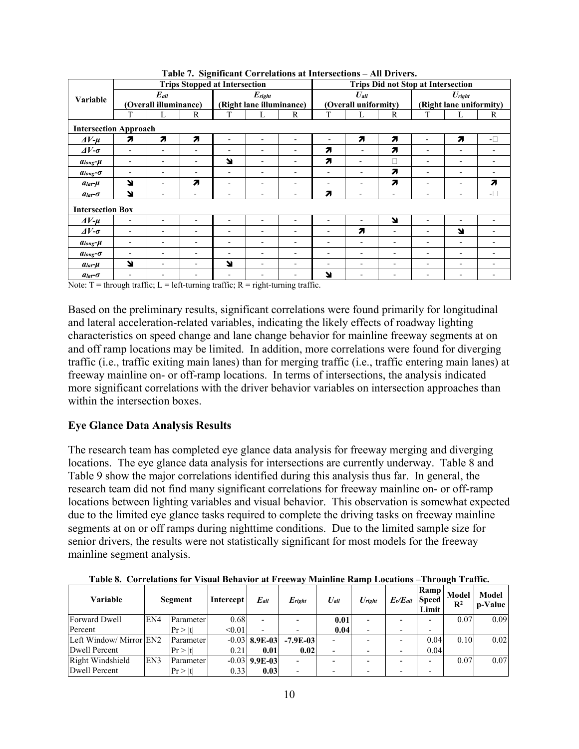|                              |                          |                                    |   | <b>Trips Stopped at Intersection</b> |                                         |                              |   |                                   |                          | <b>Trips Did not Stop at Intersection</b> |                                               |                              |
|------------------------------|--------------------------|------------------------------------|---|--------------------------------------|-----------------------------------------|------------------------------|---|-----------------------------------|--------------------------|-------------------------------------------|-----------------------------------------------|------------------------------|
| <b>Variable</b>              |                          | $E_{all}$<br>(Overall illuminance) |   |                                      | $E_{right}$<br>(Right lane illuminance) |                              |   | $U_{all}$<br>(Overall uniformity) |                          |                                           | $U_{\text{right}}$<br>(Right lane uniformity) |                              |
|                              | T                        | L                                  | R | T                                    | L                                       | R                            | T | L                                 | R                        | T                                         | L                                             | R                            |
| <b>Intersection Approach</b> |                          |                                    |   |                                      |                                         |                              |   |                                   |                          |                                           |                                               |                              |
| $\Delta V$ - $\mu$           | 7                        | 71                                 | 7 | ٠                                    | ٠                                       | ۰                            | ۰ | 7                                 | 7                        | ÷                                         | 7                                             | $-\Box$                      |
| $\Delta V$ - $\sigma$        | $\overline{\phantom{a}}$ | $\overline{\phantom{0}}$           |   | ٠                                    | ۰                                       | $\qquad \qquad \blacksquare$ | 7 |                                   | 7                        | $\overline{\phantom{a}}$                  | $\overline{\phantom{a}}$                      |                              |
| $a_{long}$ - $\mu$           | $\overline{\phantom{a}}$ | $\overline{\phantom{0}}$           |   | N                                    | ٠                                       | ۰                            | 7 | ۰                                 | П                        |                                           | ٠                                             |                              |
| $a_{long}-\sigma$            | $\overline{\phantom{a}}$ |                                    |   | ٠                                    | ٠                                       | ٠                            | ٠ |                                   | 7                        |                                           | ٠                                             |                              |
| $alat - \mu$                 | N                        | ٠                                  | 7 | $\overline{\phantom{0}}$             | ۰                                       | ٠                            | ٠ | $\overline{\phantom{a}}$          | 71                       |                                           |                                               | 7                            |
| $alat$ - $\sigma$            | N                        |                                    | ٠ |                                      | ٠                                       | ٠                            | 7 | ٠                                 | ٠                        |                                           |                                               | $\mathord{\text{--}}\square$ |
| <b>Intersection Box</b>      |                          |                                    |   |                                      |                                         |                              |   |                                   |                          |                                           |                                               |                              |
| $\Delta V$ - $\mu$           |                          |                                    |   |                                      |                                         |                              |   |                                   | N                        |                                           |                                               |                              |
| $\Delta V$ - $\sigma$        |                          | ٠                                  |   | $\overline{\phantom{0}}$             |                                         | ٠                            | ۰ | 71                                | ۰                        |                                           | Y                                             |                              |
| $a_{long}$ - $\mu$           |                          |                                    |   | $\overline{\phantom{a}}$             | ٠                                       | ۰                            | ٠ |                                   | ۰                        |                                           | $\overline{\phantom{a}}$                      |                              |
| $a_{long}$ - $\sigma$        |                          |                                    |   |                                      | ٠                                       | ٠                            |   |                                   | ۰                        |                                           |                                               |                              |
| $a_{lat}$ - $\mu$            | N                        |                                    |   | Ľ                                    |                                         | ٠                            |   |                                   | $\overline{\phantom{0}}$ |                                           |                                               |                              |
| $alat$ - $\sigma$            |                          |                                    |   |                                      |                                         |                              | N |                                   | $\overline{\phantom{0}}$ |                                           | $\overline{\phantom{a}}$                      |                              |

**Table 7. Significant Correlations at Intersections – All Drivers.** 

= left-turning traffic;  $R$  = right-turning traffic.

Based on the preliminary results, significant correlations were found primarily for longitudinal and lateral acceleration-related variables, indicating the likely effects of roadway lighting characteristics on speed change and lane change behavior for mainline freeway segments at on and off ramp locations may be limited. In addition, more correlations were found for diverging traffic (i.e., traffic exiting main lanes) than for merging traffic (i.e., traffic entering main lanes) at freeway mainline on- or off-ramp locations. In terms of intersections, the analysis indicated more significant correlations with the driver behavior variables on intersection approaches than within the intersection boxes.

#### **Eye Glance Data Analysis Results**

The research team has completed eye glance data analysis for freeway merging and diverging locations. The eye glance data analysis for intersections are currently underway. Table 8 and Table 9 show the major correlations identified during this analysis thus far. In general, the research team did not find many significant correlations for freeway mainline on- or off-ramp locations between lighting variables and visual behavior. This observation is somewhat expected due to the limited eye glance tasks required to complete the driving tasks on freeway mainline segments at on or off ramps during nighttime conditions. Due to the limited sample size for senior drivers, the results were not statistically significant for most models for the freeway mainline segment analysis.

| Variable                | Segment |                  | Intercept | $E_{all}$       | $E_{right}$ | $U_{all}$ | $U_{right}$ | $E_r/E_{all}$ | Ramp<br><b>Speed</b><br>Limit | Model<br>$\mathbf{R}^2$ | Model<br>p-Value |
|-------------------------|---------|------------------|-----------|-----------------|-------------|-----------|-------------|---------------|-------------------------------|-------------------------|------------------|
| Forward Dwell           | EN4     | Parameter        | 0.68      |                 |             | 0.01      |             |               |                               | 0.07                    | 0.09             |
| Percent                 |         | Pr >  t          | < 0.01    |                 |             | 0.04      |             |               | -                             |                         |                  |
| Left Window/ Mirror EN2 |         | Parameter        |           | $-0.03$ 8.9E-03 | $-7.9E-03$  |           |             |               | 0.04                          | 0.10                    | 0.02             |
| Dwell Percent           |         | Pr >  t          | 0.21      | 0.01            | 0.02        |           |             |               | 0.04                          |                         |                  |
| Right Windshield        | EN3     | <b>Parameter</b> |           | $-0.03$ 9.9E-03 |             |           |             |               |                               | 0.07                    | 0.07             |
| <b>Dwell Percent</b>    |         | Pr >  t          | 0.33      | 0.03            |             |           |             |               |                               |                         |                  |

**Table 8. Correlations for Visual Behavior at Freeway Mainline Ramp Locations –Through Traffic.**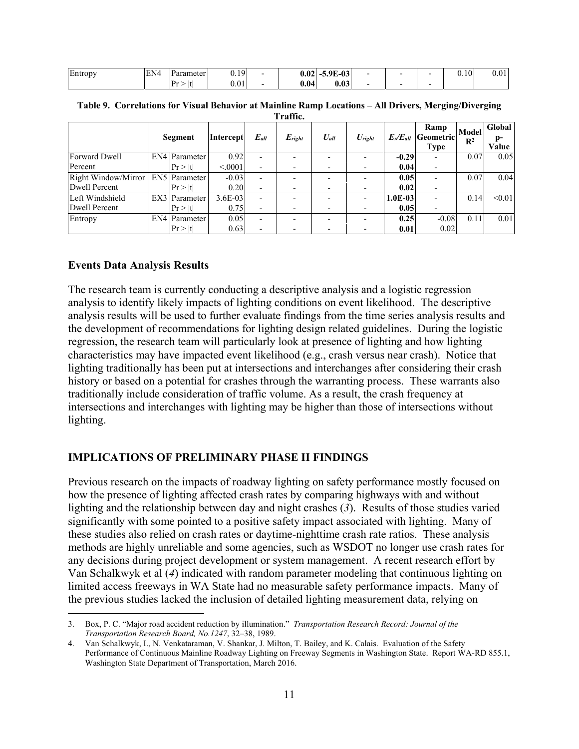| Entropy | EN4 | Parameter  | 1 Q<br>$\mathsf{v}\cdot\mathsf{v}$ | $\mathbf{A}$<br>v.v4 | 5.9E-03<br>. .<br>. |  | 0.10 | v.v. |
|---------|-----|------------|------------------------------------|----------------------|---------------------|--|------|------|
|         |     | <b>P</b> r | 0.01                               | v.v4                 | ).03                |  |      |      |

| Traffic.            |  |                      |           |                          |             |           |             |                     |                                  |                                |                       |  |  |  |
|---------------------|--|----------------------|-----------|--------------------------|-------------|-----------|-------------|---------------------|----------------------------------|--------------------------------|-----------------------|--|--|--|
|                     |  | Segment              | Intercept | $E_{all}$                | $E_{right}$ | $U_{all}$ | $U_{right}$ | $E_{\rm r}/E_{all}$ | Ramp<br><b>Geometric</b><br>Type | <b>Model</b><br>$\mathbb{R}^2$ | Global<br>p-<br>Value |  |  |  |
| Forward Dwell       |  | EN4 Parameter        | 0.92      |                          |             |           |             | $-0.29$             |                                  | 0.07                           | 0.05                  |  |  |  |
| Percent             |  | Pr >  t              | < 0.0001  |                          |             |           |             | 0.04                |                                  |                                |                       |  |  |  |
| Right Window/Mirror |  | <b>EN5</b> Parameter | $-0.03$   | $\overline{\phantom{a}}$ |             |           |             | 0.05                |                                  | 0.07                           | 0.04                  |  |  |  |
| Dwell Percent       |  | Pr >  t              | 0.20      |                          |             |           |             | 0.02                | ٠                                |                                |                       |  |  |  |
| Left Windshield     |  | EX3 Parameter        | $3.6E-03$ |                          |             |           |             | $1.0E-03$           |                                  | 0.14                           | < 0.01                |  |  |  |
| Dwell Percent       |  | Pr >  t              | 0.75      | $\overline{\phantom{a}}$ |             |           |             | 0.05                | ٠                                |                                |                       |  |  |  |
| Entropy             |  | <b>EN4</b> Parameter | 0.05      | $\overline{\phantom{0}}$ |             |           |             | 0.25                | $-0.08$                          | 0.11                           | 0.01                  |  |  |  |
|                     |  | Pr >  t              | 0.63      |                          |             |           |             | 0.01                | 0.02                             |                                |                       |  |  |  |

**Table 9. Correlations for Visual Behavior at Mainline Ramp Locations – All Drivers, Merging/Diverging** 

#### **Events Data Analysis Results**

 $\overline{a}$ 

The research team is currently conducting a descriptive analysis and a logistic regression analysis to identify likely impacts of lighting conditions on event likelihood. The descriptive analysis results will be used to further evaluate findings from the time series analysis results and the development of recommendations for lighting design related guidelines. During the logistic regression, the research team will particularly look at presence of lighting and how lighting characteristics may have impacted event likelihood (e.g., crash versus near crash). Notice that lighting traditionally has been put at intersections and interchanges after considering their crash history or based on a potential for crashes through the warranting process. These warrants also traditionally include consideration of traffic volume. As a result, the crash frequency at intersections and interchanges with lighting may be higher than those of intersections without lighting.

#### **IMPLICATIONS OF PRELIMINARY PHASE II FINDINGS**

Previous research on the impacts of roadway lighting on safety performance mostly focused on how the presence of lighting affected crash rates by comparing highways with and without lighting and the relationship between day and night crashes (*3*). Results of those studies varied significantly with some pointed to a positive safety impact associated with lighting. Many of these studies also relied on crash rates or daytime-nighttime crash rate ratios. These analysis methods are highly unreliable and some agencies, such as WSDOT no longer use crash rates for any decisions during project development or system management. A recent research effort by Van Schalkwyk et al (*4*) indicated with random parameter modeling that continuous lighting on limited access freeways in WA State had no measurable safety performance impacts. Many of the previous studies lacked the inclusion of detailed lighting measurement data, relying on

<sup>3.</sup> Box, P. C. "Major road accident reduction by illumination." *Transportation Research Record: Journal of the Transportation Research Board, No.1247*, 32–38, 1989.

<sup>4.</sup> Van Schalkwyk, I., N. Venkataraman, V. Shankar, J. Milton, T. Bailey, and K. Calais. Evaluation of the Safety Performance of Continuous Mainline Roadway Lighting on Freeway Segments in Washington State. Report WA-RD 855.1, Washington State Department of Transportation, March 2016.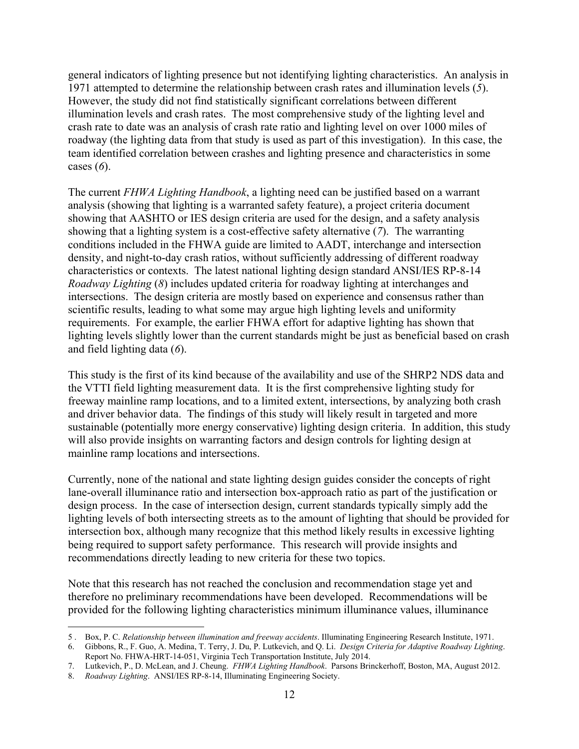general indicators of lighting presence but not identifying lighting characteristics. An analysis in 1971 attempted to determine the relationship between crash rates and illumination levels (*5*). However, the study did not find statistically significant correlations between different illumination levels and crash rates. The most comprehensive study of the lighting level and crash rate to date was an analysis of crash rate ratio and lighting level on over 1000 miles of roadway (the lighting data from that study is used as part of this investigation). In this case, the team identified correlation between crashes and lighting presence and characteristics in some cases (*6*).

The current *FHWA Lighting Handbook*, a lighting need can be justified based on a warrant analysis (showing that lighting is a warranted safety feature), a project criteria document showing that AASHTO or IES design criteria are used for the design, and a safety analysis showing that a lighting system is a cost-effective safety alternative (*7*). The warranting conditions included in the FHWA guide are limited to AADT, interchange and intersection density, and night-to-day crash ratios, without sufficiently addressing of different roadway characteristics or contexts. The latest national lighting design standard ANSI/IES RP-8-14 *Roadway Lighting* (*8*) includes updated criteria for roadway lighting at interchanges and intersections. The design criteria are mostly based on experience and consensus rather than scientific results, leading to what some may argue high lighting levels and uniformity requirements. For example, the earlier FHWA effort for adaptive lighting has shown that lighting levels slightly lower than the current standards might be just as beneficial based on crash and field lighting data (*6*).

This study is the first of its kind because of the availability and use of the SHRP2 NDS data and the VTTI field lighting measurement data. It is the first comprehensive lighting study for freeway mainline ramp locations, and to a limited extent, intersections, by analyzing both crash and driver behavior data. The findings of this study will likely result in targeted and more sustainable (potentially more energy conservative) lighting design criteria. In addition, this study will also provide insights on warranting factors and design controls for lighting design at mainline ramp locations and intersections.

Currently, none of the national and state lighting design guides consider the concepts of right lane-overall illuminance ratio and intersection box-approach ratio as part of the justification or design process. In the case of intersection design, current standards typically simply add the lighting levels of both intersecting streets as to the amount of lighting that should be provided for intersection box, although many recognize that this method likely results in excessive lighting being required to support safety performance. This research will provide insights and recommendations directly leading to new criteria for these two topics.

Note that this research has not reached the conclusion and recommendation stage yet and therefore no preliminary recommendations have been developed. Recommendations will be provided for the following lighting characteristics minimum illuminance values, illuminance

<sup>5 .</sup> Box, P. C. *Relationship between illumination and freeway accidents*. Illuminating Engineering Research Institute, 1971.

<sup>6.</sup> Gibbons, R., F. Guo, A. Medina, T. Terry, J. Du, P. Lutkevich, and Q. Li. *Design Criteria for Adaptive Roadway Lighting*. Report No. FHWA-HRT-14-051, Virginia Tech Transportation Institute, July 2014.

<sup>7.</sup> Lutkevich, P., D. McLean, and J. Cheung. *FHWA Lighting Handbook*. Parsons Brinckerhoff, Boston, MA, August 2012.

<sup>8.</sup> *Roadway Lighting*. ANSI/IES RP-8-14, Illuminating Engineering Society.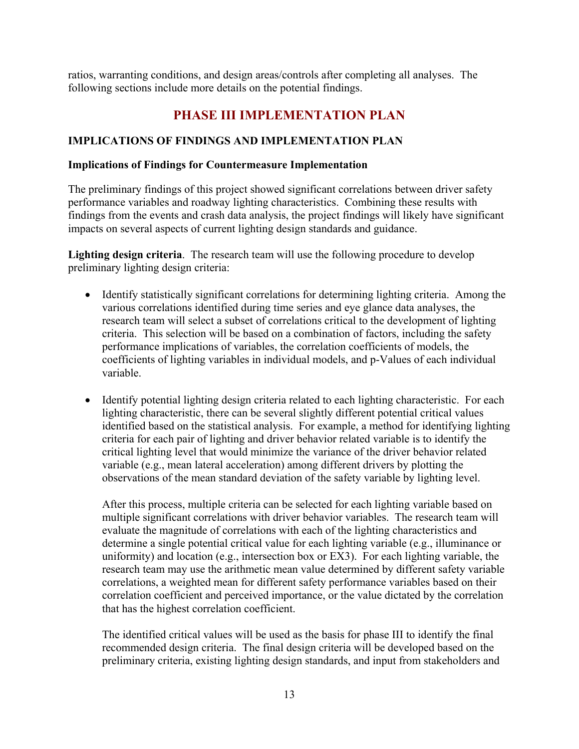ratios, warranting conditions, and design areas/controls after completing all analyses. The following sections include more details on the potential findings.

# **PHASE III IMPLEMENTATION PLAN**

### **IMPLICATIONS OF FINDINGS AND IMPLEMENTATION PLAN**

#### **Implications of Findings for Countermeasure Implementation**

The preliminary findings of this project showed significant correlations between driver safety performance variables and roadway lighting characteristics. Combining these results with findings from the events and crash data analysis, the project findings will likely have significant impacts on several aspects of current lighting design standards and guidance.

**Lighting design criteria**. The research team will use the following procedure to develop preliminary lighting design criteria:

- Identify statistically significant correlations for determining lighting criteria. Among the various correlations identified during time series and eye glance data analyses, the research team will select a subset of correlations critical to the development of lighting criteria. This selection will be based on a combination of factors, including the safety performance implications of variables, the correlation coefficients of models, the coefficients of lighting variables in individual models, and p-Values of each individual variable.
- Identify potential lighting design criteria related to each lighting characteristic. For each lighting characteristic, there can be several slightly different potential critical values identified based on the statistical analysis. For example, a method for identifying lighting criteria for each pair of lighting and driver behavior related variable is to identify the critical lighting level that would minimize the variance of the driver behavior related variable (e.g., mean lateral acceleration) among different drivers by plotting the observations of the mean standard deviation of the safety variable by lighting level.

After this process, multiple criteria can be selected for each lighting variable based on multiple significant correlations with driver behavior variables. The research team will evaluate the magnitude of correlations with each of the lighting characteristics and determine a single potential critical value for each lighting variable (e.g., illuminance or uniformity) and location (e.g., intersection box or EX3). For each lighting variable, the research team may use the arithmetic mean value determined by different safety variable correlations, a weighted mean for different safety performance variables based on their correlation coefficient and perceived importance, or the value dictated by the correlation that has the highest correlation coefficient.

The identified critical values will be used as the basis for phase III to identify the final recommended design criteria. The final design criteria will be developed based on the preliminary criteria, existing lighting design standards, and input from stakeholders and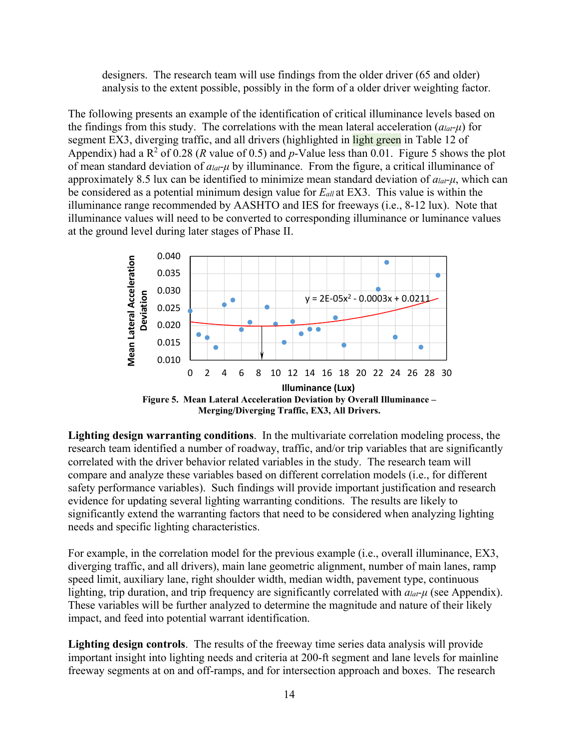designers. The research team will use findings from the older driver (65 and older) analysis to the extent possible, possibly in the form of a older driver weighting factor.

The following presents an example of the identification of critical illuminance levels based on the findings from this study. The correlations with the mean lateral acceleration (*alat-μ*) for segment EX3, diverging traffic, and all drivers (highlighted in light green in Table 12 of Appendix) had a  $R^2$  of 0.28 (*R* value of 0.5) and *p*-Value less than 0.01. Figure 5 shows the plot of mean standard deviation of *alat-μ* by illuminance. From the figure, a critical illuminance of approximately 8.5 lux can be identified to minimize mean standard deviation of *alat-μ*, which can be considered as a potential minimum design value for *Eall* at EX3. This value is within the illuminance range recommended by AASHTO and IES for freeways (i.e., 8-12 lux). Note that illuminance values will need to be converted to corresponding illuminance or luminance values at the ground level during later stages of Phase II.



**Lighting design warranting conditions**. In the multivariate correlation modeling process, the research team identified a number of roadway, traffic, and/or trip variables that are significantly correlated with the driver behavior related variables in the study. The research team will compare and analyze these variables based on different correlation models (i.e., for different safety performance variables). Such findings will provide important justification and research evidence for updating several lighting warranting conditions. The results are likely to significantly extend the warranting factors that need to be considered when analyzing lighting needs and specific lighting characteristics.

For example, in the correlation model for the previous example (i.e., overall illuminance, EX3, diverging traffic, and all drivers), main lane geometric alignment, number of main lanes, ramp speed limit, auxiliary lane, right shoulder width, median width, pavement type, continuous lighting, trip duration, and trip frequency are significantly correlated with *alat-μ* (see Appendix). These variables will be further analyzed to determine the magnitude and nature of their likely impact, and feed into potential warrant identification.

**Lighting design controls**. The results of the freeway time series data analysis will provide important insight into lighting needs and criteria at 200-ft segment and lane levels for mainline freeway segments at on and off-ramps, and for intersection approach and boxes. The research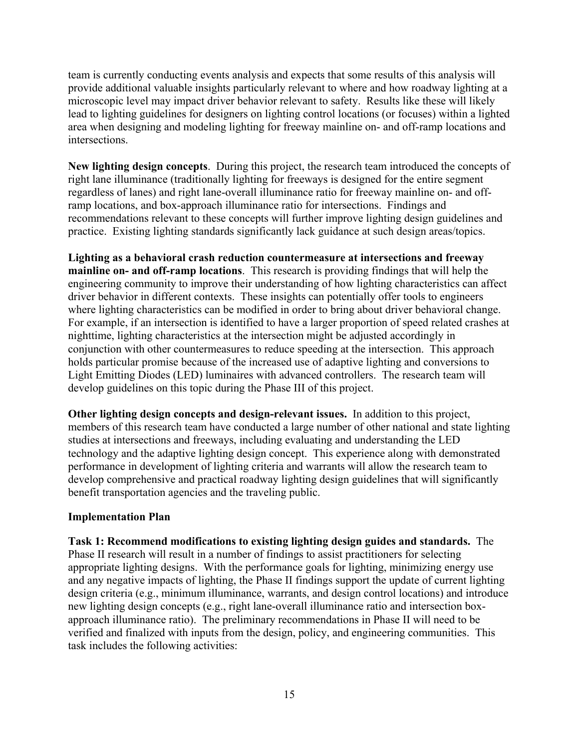team is currently conducting events analysis and expects that some results of this analysis will provide additional valuable insights particularly relevant to where and how roadway lighting at a microscopic level may impact driver behavior relevant to safety. Results like these will likely lead to lighting guidelines for designers on lighting control locations (or focuses) within a lighted area when designing and modeling lighting for freeway mainline on- and off-ramp locations and intersections.

**New lighting design concepts**. During this project, the research team introduced the concepts of right lane illuminance (traditionally lighting for freeways is designed for the entire segment regardless of lanes) and right lane-overall illuminance ratio for freeway mainline on- and offramp locations, and box-approach illuminance ratio for intersections. Findings and recommendations relevant to these concepts will further improve lighting design guidelines and practice. Existing lighting standards significantly lack guidance at such design areas/topics.

**Lighting as a behavioral crash reduction countermeasure at intersections and freeway mainline on- and off-ramp locations**. This research is providing findings that will help the engineering community to improve their understanding of how lighting characteristics can affect driver behavior in different contexts. These insights can potentially offer tools to engineers where lighting characteristics can be modified in order to bring about driver behavioral change. For example, if an intersection is identified to have a larger proportion of speed related crashes at nighttime, lighting characteristics at the intersection might be adjusted accordingly in conjunction with other countermeasures to reduce speeding at the intersection. This approach holds particular promise because of the increased use of adaptive lighting and conversions to Light Emitting Diodes (LED) luminaires with advanced controllers. The research team will develop guidelines on this topic during the Phase III of this project.

**Other lighting design concepts and design-relevant issues.** In addition to this project, members of this research team have conducted a large number of other national and state lighting studies at intersections and freeways, including evaluating and understanding the LED technology and the adaptive lighting design concept. This experience along with demonstrated performance in development of lighting criteria and warrants will allow the research team to develop comprehensive and practical roadway lighting design guidelines that will significantly benefit transportation agencies and the traveling public.

## **Implementation Plan**

**Task 1: Recommend modifications to existing lighting design guides and standards.** The Phase II research will result in a number of findings to assist practitioners for selecting appropriate lighting designs. With the performance goals for lighting, minimizing energy use and any negative impacts of lighting, the Phase II findings support the update of current lighting design criteria (e.g., minimum illuminance, warrants, and design control locations) and introduce new lighting design concepts (e.g., right lane-overall illuminance ratio and intersection boxapproach illuminance ratio). The preliminary recommendations in Phase II will need to be verified and finalized with inputs from the design, policy, and engineering communities. This task includes the following activities: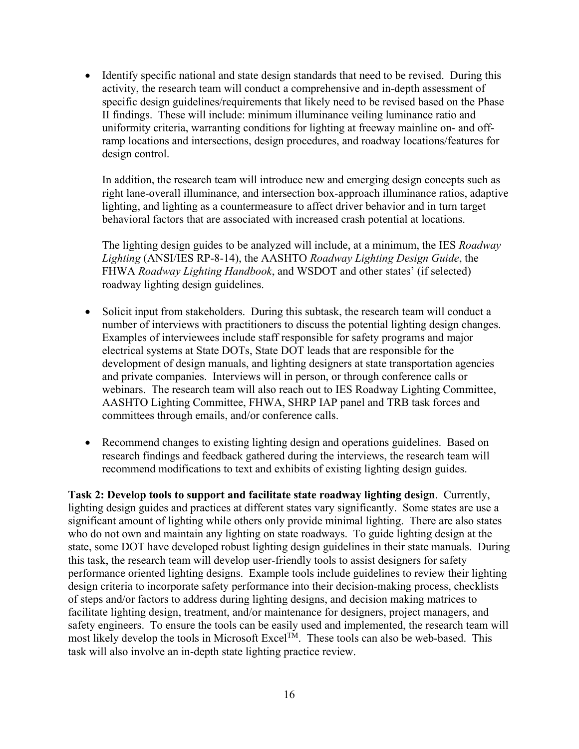Identify specific national and state design standards that need to be revised. During this activity, the research team will conduct a comprehensive and in-depth assessment of specific design guidelines/requirements that likely need to be revised based on the Phase II findings. These will include: minimum illuminance veiling luminance ratio and uniformity criteria, warranting conditions for lighting at freeway mainline on- and offramp locations and intersections, design procedures, and roadway locations/features for design control.

In addition, the research team will introduce new and emerging design concepts such as right lane-overall illuminance, and intersection box-approach illuminance ratios, adaptive lighting, and lighting as a countermeasure to affect driver behavior and in turn target behavioral factors that are associated with increased crash potential at locations.

The lighting design guides to be analyzed will include, at a minimum, the IES *Roadway Lighting* (ANSI/IES RP-8-14), the AASHTO *Roadway Lighting Design Guide*, the FHWA *Roadway Lighting Handbook*, and WSDOT and other states' (if selected) roadway lighting design guidelines.

- Solicit input from stakeholders. During this subtask, the research team will conduct a number of interviews with practitioners to discuss the potential lighting design changes. Examples of interviewees include staff responsible for safety programs and major electrical systems at State DOTs, State DOT leads that are responsible for the development of design manuals, and lighting designers at state transportation agencies and private companies. Interviews will in person, or through conference calls or webinars. The research team will also reach out to IES Roadway Lighting Committee, AASHTO Lighting Committee, FHWA, SHRP IAP panel and TRB task forces and committees through emails, and/or conference calls.
- Recommend changes to existing lighting design and operations guidelines. Based on research findings and feedback gathered during the interviews, the research team will recommend modifications to text and exhibits of existing lighting design guides.

**Task 2: Develop tools to support and facilitate state roadway lighting design**. Currently, lighting design guides and practices at different states vary significantly. Some states are use a significant amount of lighting while others only provide minimal lighting. There are also states who do not own and maintain any lighting on state roadways. To guide lighting design at the state, some DOT have developed robust lighting design guidelines in their state manuals. During this task, the research team will develop user-friendly tools to assist designers for safety performance oriented lighting designs. Example tools include guidelines to review their lighting design criteria to incorporate safety performance into their decision-making process, checklists of steps and/or factors to address during lighting designs, and decision making matrices to facilitate lighting design, treatment, and/or maintenance for designers, project managers, and safety engineers. To ensure the tools can be easily used and implemented, the research team will most likely develop the tools in Microsoft Excel<sup>TM</sup>. These tools can also be web-based. This task will also involve an in-depth state lighting practice review.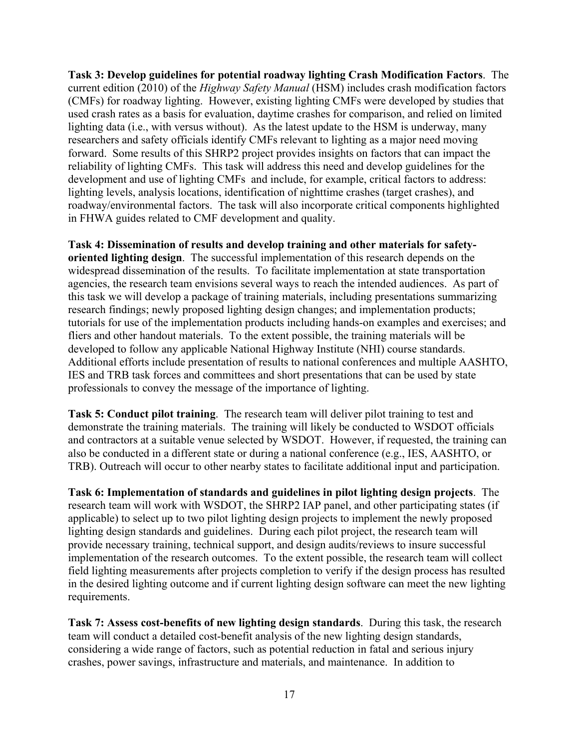**Task 3: Develop guidelines for potential roadway lighting Crash Modification Factors**. The current edition (2010) of the *Highway Safety Manual* (HSM) includes crash modification factors (CMFs) for roadway lighting. However, existing lighting CMFs were developed by studies that used crash rates as a basis for evaluation, daytime crashes for comparison, and relied on limited lighting data (i.e., with versus without). As the latest update to the HSM is underway, many researchers and safety officials identify CMFs relevant to lighting as a major need moving forward. Some results of this SHRP2 project provides insights on factors that can impact the reliability of lighting CMFs. This task will address this need and develop guidelines for the development and use of lighting CMFs and include, for example, critical factors to address: lighting levels, analysis locations, identification of nighttime crashes (target crashes), and roadway/environmental factors. The task will also incorporate critical components highlighted in FHWA guides related to CMF development and quality.

**Task 4: Dissemination of results and develop training and other materials for safetyoriented lighting design**. The successful implementation of this research depends on the widespread dissemination of the results. To facilitate implementation at state transportation agencies, the research team envisions several ways to reach the intended audiences. As part of this task we will develop a package of training materials, including presentations summarizing research findings; newly proposed lighting design changes; and implementation products; tutorials for use of the implementation products including hands-on examples and exercises; and fliers and other handout materials. To the extent possible, the training materials will be developed to follow any applicable National Highway Institute (NHI) course standards. Additional efforts include presentation of results to national conferences and multiple AASHTO, IES and TRB task forces and committees and short presentations that can be used by state professionals to convey the message of the importance of lighting.

**Task 5: Conduct pilot training**. The research team will deliver pilot training to test and demonstrate the training materials. The training will likely be conducted to WSDOT officials and contractors at a suitable venue selected by WSDOT. However, if requested, the training can also be conducted in a different state or during a national conference (e.g., IES, AASHTO, or TRB). Outreach will occur to other nearby states to facilitate additional input and participation.

**Task 6: Implementation of standards and guidelines in pilot lighting design projects**. The research team will work with WSDOT, the SHRP2 IAP panel, and other participating states (if applicable) to select up to two pilot lighting design projects to implement the newly proposed lighting design standards and guidelines. During each pilot project, the research team will provide necessary training, technical support, and design audits/reviews to insure successful implementation of the research outcomes. To the extent possible, the research team will collect field lighting measurements after projects completion to verify if the design process has resulted in the desired lighting outcome and if current lighting design software can meet the new lighting requirements.

**Task 7: Assess cost-benefits of new lighting design standards**. During this task, the research team will conduct a detailed cost-benefit analysis of the new lighting design standards, considering a wide range of factors, such as potential reduction in fatal and serious injury crashes, power savings, infrastructure and materials, and maintenance. In addition to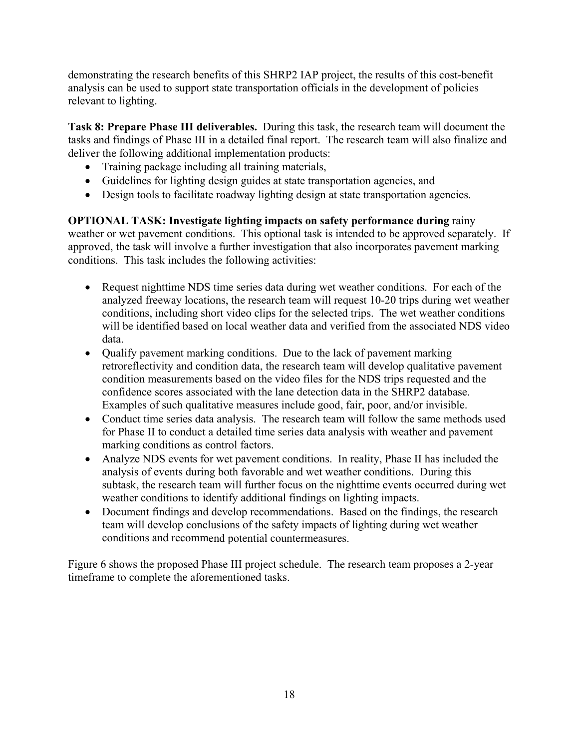demonstrating the research benefits of this SHRP2 IAP project, the results of this cost-benefit analysis can be used to support state transportation officials in the development of policies relevant to lighting.

**Task 8: Prepare Phase III deliverables.** During this task, the research team will document the tasks and findings of Phase III in a detailed final report. The research team will also finalize and deliver the following additional implementation products:

- Training package including all training materials,
- Guidelines for lighting design guides at state transportation agencies, and
- Design tools to facilitate roadway lighting design at state transportation agencies.

**OPTIONAL TASK: Investigate lighting impacts on safety performance during** rainy weather or wet pavement conditions. This optional task is intended to be approved separately. If approved, the task will involve a further investigation that also incorporates pavement marking conditions. This task includes the following activities:

- Request nighttime NDS time series data during wet weather conditions. For each of the analyzed freeway locations, the research team will request 10-20 trips during wet weather conditions, including short video clips for the selected trips. The wet weather conditions will be identified based on local weather data and verified from the associated NDS video data.
- Qualify pavement marking conditions. Due to the lack of pavement marking retroreflectivity and condition data, the research team will develop qualitative pavement condition measurements based on the video files for the NDS trips requested and the confidence scores associated with the lane detection data in the SHRP2 database. Examples of such qualitative measures include good, fair, poor, and/or invisible.
- Conduct time series data analysis. The research team will follow the same methods used for Phase II to conduct a detailed time series data analysis with weather and pavement marking conditions as control factors.
- Analyze NDS events for wet pavement conditions. In reality, Phase II has included the analysis of events during both favorable and wet weather conditions. During this subtask, the research team will further focus on the nighttime events occurred during wet weather conditions to identify additional findings on lighting impacts.
- Document findings and develop recommendations. Based on the findings, the research team will develop conclusions of the safety impacts of lighting during wet weather conditions and recommend potential countermeasures.

Figure 6 shows the proposed Phase III project schedule. The research team proposes a 2-year timeframe to complete the aforementioned tasks.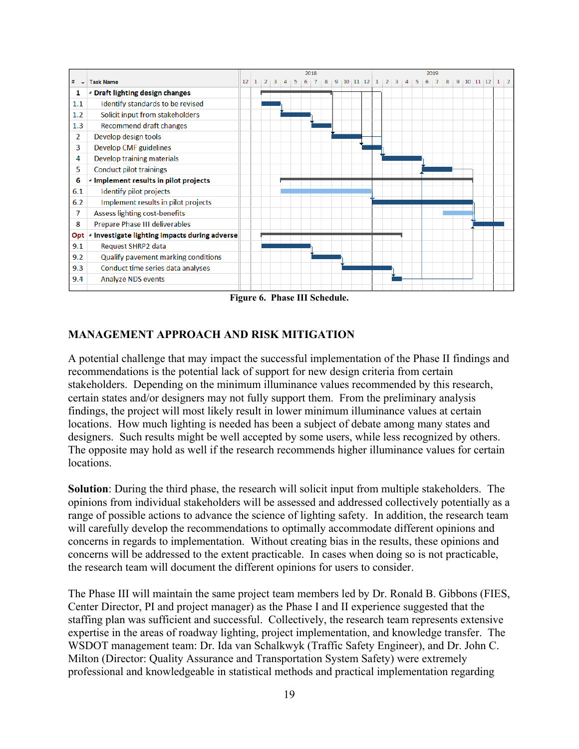

**Figure 6. Phase III Schedule.** 

#### **MANAGEMENT APPROACH AND RISK MITIGATION**

A potential challenge that may impact the successful implementation of the Phase II findings and recommendations is the potential lack of support for new design criteria from certain stakeholders. Depending on the minimum illuminance values recommended by this research, certain states and/or designers may not fully support them. From the preliminary analysis findings, the project will most likely result in lower minimum illuminance values at certain locations. How much lighting is needed has been a subject of debate among many states and designers. Such results might be well accepted by some users, while less recognized by others. The opposite may hold as well if the research recommends higher illuminance values for certain locations.

**Solution**: During the third phase, the research will solicit input from multiple stakeholders. The opinions from individual stakeholders will be assessed and addressed collectively potentially as a range of possible actions to advance the science of lighting safety. In addition, the research team will carefully develop the recommendations to optimally accommodate different opinions and concerns in regards to implementation. Without creating bias in the results, these opinions and concerns will be addressed to the extent practicable. In cases when doing so is not practicable, the research team will document the different opinions for users to consider.

The Phase III will maintain the same project team members led by Dr. Ronald B. Gibbons (FIES, Center Director, PI and project manager) as the Phase I and II experience suggested that the staffing plan was sufficient and successful. Collectively, the research team represents extensive expertise in the areas of roadway lighting, project implementation, and knowledge transfer. The WSDOT management team: Dr. Ida van Schalkwyk (Traffic Safety Engineer), and Dr. John C. Milton (Director: Quality Assurance and Transportation System Safety) were extremely professional and knowledgeable in statistical methods and practical implementation regarding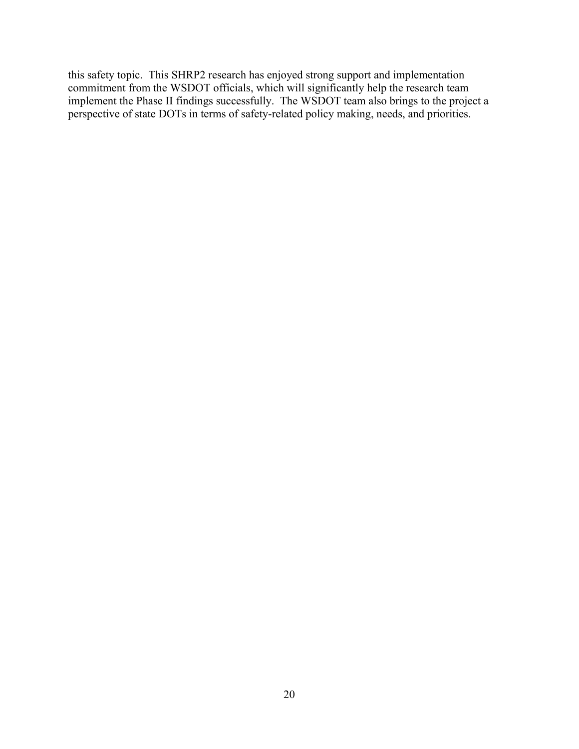this safety topic. This SHRP2 research has enjoyed strong support and implementation commitment from the WSDOT officials, which will significantly help the research team implement the Phase II findings successfully. The WSDOT team also brings to the project a perspective of state DOTs in terms of safety-related policy making, needs, and priorities.